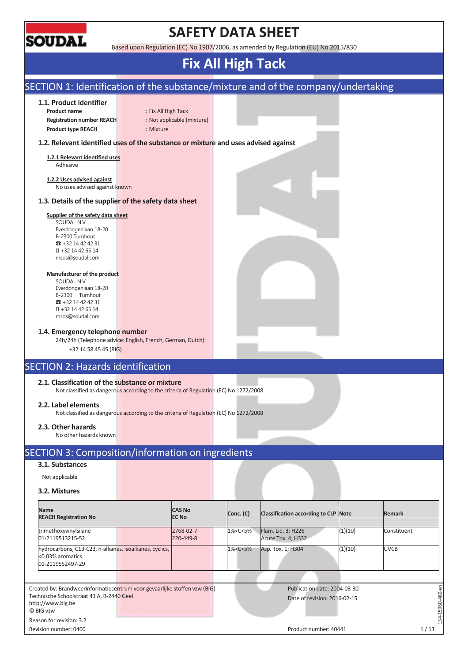

# **SAFETY DATA SHEET**

Based upon Regulation (EC) No 1907/2006, as amended by Regulation (EU) No 2015/830

# **Fix All High Tack**

| SECTION 1: Identification of the substance/mixture and of the company/undertaking                                                                        |                     |                               |                                                                                                                |                                                              |         |               |
|----------------------------------------------------------------------------------------------------------------------------------------------------------|---------------------|-------------------------------|----------------------------------------------------------------------------------------------------------------|--------------------------------------------------------------|---------|---------------|
| 1.1. Product identifier<br><b>Product name</b><br><b>Registration number REACH</b>                                                                       | : Fix All High Tack | : Not applicable (mixture)    |                                                                                                                |                                                              |         |               |
| <b>Product type REACH</b>                                                                                                                                | : Mixture           |                               |                                                                                                                |                                                              |         |               |
| 1.2. Relevant identified uses of the substance or mixture and uses advised against                                                                       |                     |                               |                                                                                                                |                                                              |         |               |
| 1.2.1 Relevant identified uses<br>Adhesive                                                                                                               |                     |                               |                                                                                                                |                                                              |         |               |
| 1.2.2 Uses advised against<br>No uses advised against known                                                                                              |                     |                               |                                                                                                                |                                                              |         |               |
| 1.3. Details of the supplier of the safety data sheet                                                                                                    |                     |                               |                                                                                                                |                                                              |         |               |
| Supplier of the safety data sheet<br>SOUDAL N.V.<br>Everdongenlaan 18-20<br>B-2300 Turnhout<br>$32 + 3214424231$<br>+32 14 42 65 14<br>msds@soudal.com   |                     |                               |                                                                                                                |                                                              |         |               |
| Manufacturer of the product<br>SOUDAL N.V.<br>Everdongenlaan 18-20<br>B-2300 Turnhout<br>$32 + 3214424231$<br>+32 14 42 65 14<br>msds@soudal.com         |                     |                               |                                                                                                                |                                                              |         |               |
| 1.4. Emergency telephone number<br>24h/24h (Telephone advice: English, French, German, Dutch):<br>+32 14 58 45 45 (BIG)                                  |                     |                               |                                                                                                                |                                                              |         |               |
| <b>SECTION 2: Hazards identification</b>                                                                                                                 |                     |                               |                                                                                                                |                                                              |         |               |
| 2.1. Classification of the substance or mixture<br>Not classified as dangerous according to the criteria of Regulation (EC) No 1272/2008                 |                     |                               |                                                                                                                |                                                              |         |               |
| 2.2. Label elements<br>Not classified as dangerous according to the criteria of Regulation (EC) No 1272/2008                                             |                     |                               |                                                                                                                |                                                              |         |               |
| 2.3. Other hazards<br>No other hazards known                                                                                                             |                     |                               |                                                                                                                |                                                              |         |               |
| SECTION 3: Composition/information on ingredients                                                                                                        |                     |                               |                                                                                                                |                                                              |         |               |
| 3.1. Substances                                                                                                                                          |                     |                               |                                                                                                                |                                                              |         |               |
| Not applicable                                                                                                                                           |                     |                               |                                                                                                                |                                                              |         |               |
| 3.2. Mixtures                                                                                                                                            |                     |                               |                                                                                                                |                                                              |         |               |
| <b>Name</b><br><b>REACH Registration No</b>                                                                                                              |                     | <b>CAS No</b><br><b>EC No</b> | Conc. (C)                                                                                                      | Classification according to CLP Note                         |         | <b>Remark</b> |
| trimethoxyvinylsilane<br>01-2119513215-52                                                                                                                |                     | 2768-02-7<br>220-449-8        | 1% <c<5%< td=""><td>Flam. Liq. 3; H226<br/>Acute Tox. 4; H332</td><td>(1)(10)</td><td>Constituent</td></c<5%<> | Flam. Liq. 3; H226<br>Acute Tox. 4; H332                     | (1)(10) | Constituent   |
| hydrocarbons, C13-C23, n-alkanes, isoalkanes, cyclics,<br><0.03% aromatics                                                                               |                     |                               | 1% <c<5%< td=""><td>Asp. Tox. 1; H304</td><td>(1)(10)</td><td><b>UVCB</b></td></c<5%<>                         | Asp. Tox. 1; H304                                            | (1)(10) | <b>UVCB</b>   |
| 01-2119552497-29                                                                                                                                         |                     |                               |                                                                                                                |                                                              |         |               |
|                                                                                                                                                          |                     |                               |                                                                                                                |                                                              |         |               |
| Created by: Brandweerinformatiecentrum voor gevaarlijke stoffen vzw (BIG)<br>Technische Schoolstraat 43 A, B-2440 Geel<br>http://www.big.be<br>© BIG vzw |                     |                               |                                                                                                                | Publication date: 2004-03-30<br>Date of revision: 2016-02-15 |         |               |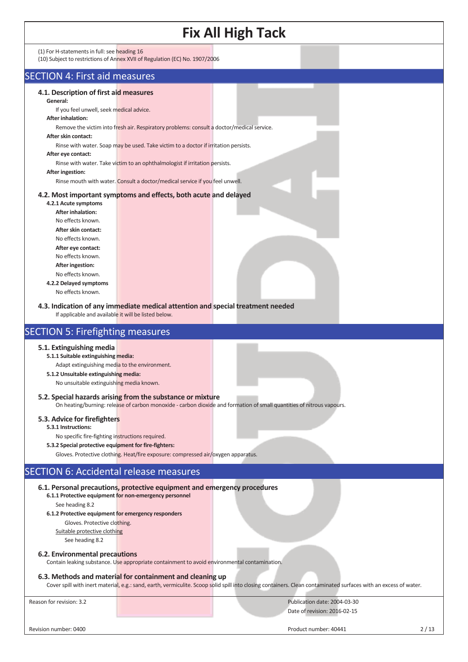| <b>Fix All High Tack</b>                                                                                                                                                                                                                                                                                                                                                                                                                                                                                                                                                                                                                                                                                                                                                                                                                                                                                                                                      |
|---------------------------------------------------------------------------------------------------------------------------------------------------------------------------------------------------------------------------------------------------------------------------------------------------------------------------------------------------------------------------------------------------------------------------------------------------------------------------------------------------------------------------------------------------------------------------------------------------------------------------------------------------------------------------------------------------------------------------------------------------------------------------------------------------------------------------------------------------------------------------------------------------------------------------------------------------------------|
| (1) For H-statements in full: see heading 16<br>(10) Subject to restrictions of Annex XVII of Regulation (EC) No. 1907/2006                                                                                                                                                                                                                                                                                                                                                                                                                                                                                                                                                                                                                                                                                                                                                                                                                                   |
| <b>SECTION 4: First aid measures</b>                                                                                                                                                                                                                                                                                                                                                                                                                                                                                                                                                                                                                                                                                                                                                                                                                                                                                                                          |
| 4.1. Description of first aid measures<br>General:<br>If you feel unwell, seek medical advice.<br><b>After inhalation:</b><br>Remove the victim into fresh air. Respiratory problems: consult a doctor/medical service.<br>After skin contact:<br>Rinse with water. Soap may be used. Take victim to a doctor if irritation persists.<br>After eye contact:<br>Rinse with water. Take victim to an ophthalmologist if irritation persists.<br>After ingestion:<br>Rinse mouth with water. Consult a doctor/medical service if you feel unwell.<br>4.2. Most important symptoms and effects, both acute and delayed<br>4.2.1 Acute symptoms<br><b>After inhalation:</b><br>No effects known.<br>After skin contact:<br>No effects known.<br>After eye contact:<br>No effects known.<br>After ingestion:<br>No effects known.<br>4.2.2 Delayed symptoms<br>No effects known.<br>4.3. Indication of any immediate medical attention and special treatment needed |
| If applicable and available it will be listed below.<br><b>SECTION 5: Firefighting measures</b>                                                                                                                                                                                                                                                                                                                                                                                                                                                                                                                                                                                                                                                                                                                                                                                                                                                               |
| 5.1. Extinguishing media<br>5.1.1 Suitable extinguishing media:<br>Adapt extinguishing media to the environment.<br>5.1.2 Unsuitable extinguishing media:<br>No unsuitable extinguishing media known.<br>5.2. Special hazards arising from the substance or mixture<br>On heating/burning: release of carbon monoxide - carbon dioxide and formation of small quantities of nitrous vapours.<br>5.3. Advice for firefighters<br>5.3.1 Instructions:<br>No specific fire-fighting instructions required.<br>5.3.2 Special protective equipment for fire-fighters:                                                                                                                                                                                                                                                                                                                                                                                              |
| Gloves. Protective clothing. Heat/fire exposure: compressed air/oxygen apparatus.                                                                                                                                                                                                                                                                                                                                                                                                                                                                                                                                                                                                                                                                                                                                                                                                                                                                             |
| <b>SECTION 6: Accidental release measures</b>                                                                                                                                                                                                                                                                                                                                                                                                                                                                                                                                                                                                                                                                                                                                                                                                                                                                                                                 |
| 6.1. Personal precautions, protective equipment and emergency procedures<br>6.1.1 Protective equipment for non-emergency personnel<br>See heading 8.2<br>6.1.2 Protective equipment for emergency responders<br>Gloves. Protective clothing.<br>Suitable protective clothing<br>See heading 8.2                                                                                                                                                                                                                                                                                                                                                                                                                                                                                                                                                                                                                                                               |
| 6.2. Environmental precautions<br>Contain leaking substance. Use appropriate containment to avoid environmental contamination.<br>6.3. Methods and material for containment and cleaning up                                                                                                                                                                                                                                                                                                                                                                                                                                                                                                                                                                                                                                                                                                                                                                   |

Cover spill with inert material, e.g.: sand, earth, vermiculite. Scoop solid spill into closing containers. Clean contaminated surfaces with an excess of water.

Reason for revision: 3.2 Publication date: 2004-03-30 Date of revision: 2016-02-15

Revision number: 0400 2/13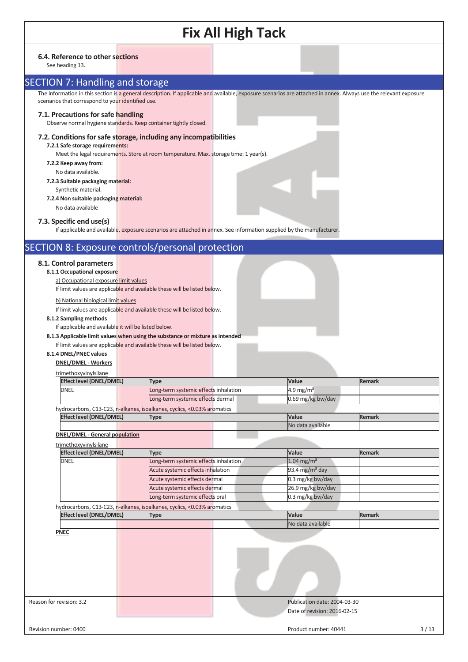### **6.4. Reference to other sections**

See heading 13.

# SECTION 7: Handling and storage

The information in this section is a general description. If applicable and available, exposure scenarios are attached in annex. Always use the relevant exposure scenarios that correspond to your identified use.

### **7.1. Precautions for safe handling**

Observe normal hygiene standards. Keep container tightly closed.

### **7.2. Conditions for safe storage, including any incompatibilities**

**7.2.1 Safe storage requirements:**  Meet the legal requirements. Store at room temperature. Max. storage time: 1 year(s).

- **7.2.2 Keep away from:**
- No data available.
- **7.2.3 Suitable packaging material:**  Synthetic material.
- **7.2.4 Non suitable packaging material:**
	- No data available

## **7.3. Specific end use(s)**

If applicable and available, exposure scenarios are attached in annex. See information supplied by the manufacturer.

## SECTION 8: Exposure controls/personal protection

## **8.1. Control parameters**

**8.1.1 Occupational exposure** 

a) Occupational exposure limit values

If limit values are applicable and available these will be listed below.

b) National biological limit values

If limit values are applicable and available these will be listed below.

### **8.1.2 Sampling methods**

If applicable and available it will be listed below.

**8.1.3 Applicable limit values when using the substance or mixture as intended**

If limit values are applicable and available these will be listed below.

**8.1.4 DNEL/PNEC values** 

## **DNEL/DMEL - Workers**

| trimethoxyvinylsilane           |                                                                         |  |                       |               |  |
|---------------------------------|-------------------------------------------------------------------------|--|-----------------------|---------------|--|
| <b>Effect level (DNEL/DMEL)</b> | Type                                                                    |  | Value                 | <b>Remark</b> |  |
| <b>DNEL</b>                     | Long-term systemic effects inhalation                                   |  | 4.9 mg/m <sup>3</sup> |               |  |
|                                 | Long-term systemic effects dermal                                       |  | $0.69$ mg/kg bw/day   |               |  |
|                                 | hydrocarbons, C13-C23, n-alkanes, isoalkanes, cyclics, <0.03% aromatics |  |                       |               |  |
| <b>Effect level (DNEL/DMEL)</b> | Type                                                                    |  | <b>Value</b>          | <b>Remark</b> |  |
|                                 |                                                                         |  | No data available     |               |  |

**DNEL/DMEL - General population**

| trimethoxyvinylsilane |
|-----------------------|
|-----------------------|

| <b>Type</b>                                                             | Value                      | <b>Remark</b> |
|-------------------------------------------------------------------------|----------------------------|---------------|
| Long-term systemic effects inhalation                                   | 1.04 mg/m <sup>3</sup>     |               |
| Acute systemic effects inhalation                                       | 93.4 mg/m <sup>3</sup> day |               |
| Acute systemic effects dermal                                           | 0.3 mg/kg bw/day           |               |
| Acute systemic effects dermal                                           | 26.9 mg/kg bw/day          |               |
| Long-term systemic effects oral                                         | 0.3 mg/kg bw/day           |               |
| hydrocarbons, C13-C23, n-alkanes, isoalkanes, cyclics, <0.03% aromatics |                            |               |
| <b>Type</b>                                                             | Value                      | <b>Remark</b> |
|                                                                         | No data available          |               |
|                                                                         |                            |               |
|                                                                         |                            |               |
|                                                                         |                            |               |

Reason for revision: 3.2 Publication date: 2004-03-30 Date of revision: 2016-02-15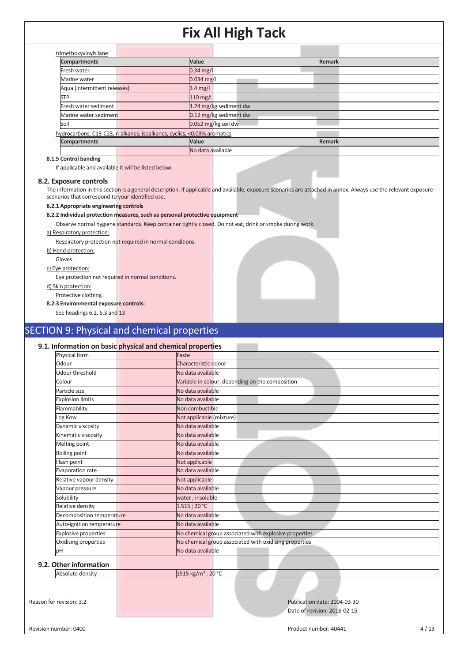| <b>Compartments</b>                                  |                                                                         | Value                  | Remark |  |
|------------------------------------------------------|-------------------------------------------------------------------------|------------------------|--------|--|
| Fresh water                                          |                                                                         | $0.34$ mg/l            |        |  |
| Marine water                                         |                                                                         | $0.034$ mg/l           |        |  |
| Aqua (intermittent releases)                         |                                                                         | $3.4 \text{ mg/l}$     |        |  |
| <b>STP</b>                                           |                                                                         | $110$ mg/l             |        |  |
| Fresh water sediment                                 |                                                                         | 1.24 mg/kg sediment dw |        |  |
| Marine water sediment                                |                                                                         | 0.12 mg/kg sediment dw |        |  |
| Soil                                                 |                                                                         | 0.052 mg/kg soil dw    |        |  |
|                                                      | hydrocarbons, C13-C23, n-alkanes, isoalkanes, cyclics, <0.03% aromatics |                        |        |  |
| <b>Compartments</b>                                  |                                                                         | Value                  | Remark |  |
|                                                      |                                                                         | No data available      |        |  |
| $0.4.5.01 \times 10^{-1}$ km s $0.01 \times 10^{-1}$ |                                                                         |                        |        |  |

## **8.1.5 Control banding**

If applicable and available it will be listed below.

#### **8.2. Exposure controls**

The information in this section is a general description. If applicable and available, exposure scenarios are attached in annex. Always use the relevant exposure scenarios that correspond to your identified use.

### **8.2.1 Appropriate engineering controls**

### **8.2.2 Individual protection measures, such as personal protective equipment**

Observe normal hygiene standards. Keep container tightly closed. Do not eat, drink or smoke during work.

#### a) Respiratory protection:

Respiratory protection not required in normal conditions.

b) Hand protection:

#### Gloves.

c) Eye protection:

Eye protection not required in normal conditions.

d) Skin protection:

Protective clothing.

### **8.2.3 Environmental exposure controls:**

See headings 6.2, 6.3 and 13

# SECTION 9: Physical and chemical properties

### **9.1. Information on basic physical and chemical properties**

| Physical form               | Paste                                                  |
|-----------------------------|--------------------------------------------------------|
| Odour                       | Characteristic odour                                   |
| Odour threshold             | No data available                                      |
| Colour                      | Variable in colour, depending on the composition       |
| Particle size               | No data available                                      |
| <b>Explosion limits</b>     | No data available                                      |
| Flammability                | Non combustible                                        |
| Log Kow                     | Not applicable (mixture)                               |
| Dynamic viscosity           | No data available                                      |
| Kinematic viscosity         | No data available                                      |
| Melting point               | No data available                                      |
| <b>Boiling point</b>        | No data available                                      |
| Flash point                 | Not applicable                                         |
| Evaporation rate            | No data available                                      |
| Relative vapour density     | Not applicable                                         |
| Vapour pressure             | No data available                                      |
| Solubility                  | water; insoluble                                       |
| Relative density            | $1.515$ ; 20 °C                                        |
| Decomposition temperature   | No data available                                      |
| Auto-ignition temperature   | No data available                                      |
| <b>Explosive properties</b> | No chemical group associated with explosive properties |
| Oxidising properties        | No chemical group associated with oxidising properties |
| pH                          | No data available                                      |
| 9.2. Other information      |                                                        |
| Absolute density            | 1515 kg/m <sup>3</sup> ; 20 °C                         |

Reason for revision: 3.2 **Publication date: 2004-03-30** Publication date: 2004-03-30

Date of revision: 2016-02-15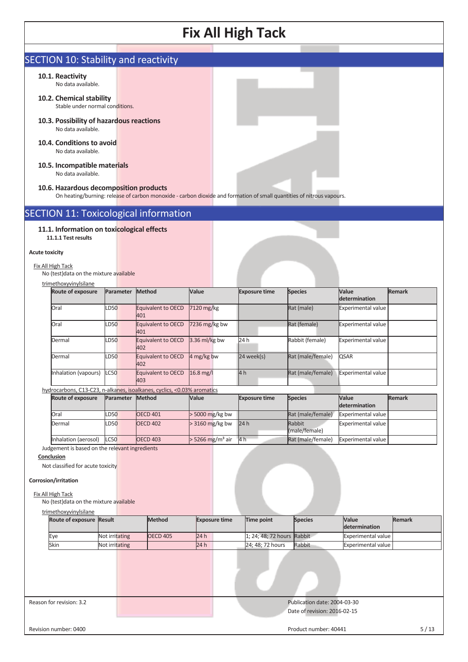# SECTION 10: Stability and reactivity

### **10.1. Reactivity**

No data available.

- **10.2. Chemical stability** Stable under normal conditions.
- **10.3. Possibility of hazardous reactions**  No data available.
- **10.4. Conditions to avoid**  No data available.

#### **10.5. Incompatible materials**  No data available.

#### **10.6. Hazardous decomposition products**

On heating/burning: release of carbon monoxide - carbon dioxide and formation of small quantities of nitrous vapours.

# SECTION 11: Toxicological information

### **11.1. Information on toxicological effects 11.1.1 Test results**

#### **Acute toxicity**

Fix All High Tack No (test)data on the mixture available

#### trimethoxyvinylsilane

| <b>Route of exposure</b>                                                |             | Parameter | Method                    | Value           | <b>Exposure time</b> | <b>Species</b>    | <b>Value</b><br>determination | <b>Remark</b> |
|-------------------------------------------------------------------------|-------------|-----------|---------------------------|-----------------|----------------------|-------------------|-------------------------------|---------------|
| <b>Oral</b>                                                             | LD50        |           | Equivalent to OECD<br>401 | 7120 mg/kg      |                      | Rat (male)        | <b>Experimental value</b>     |               |
| <b>Oral</b>                                                             | <b>LD50</b> |           | Equivalent to OECD<br>401 | $7236$ mg/kg bw |                      | Rat (female)      | Experimental value            |               |
| Dermal                                                                  | LD50        |           | Equivalent to OECD<br>402 | $3.36$ ml/kg bw | 24 h                 | Rabbit (female)   | <b>Experimental value</b>     |               |
| Dermal                                                                  | <b>LD50</b> |           | Equivalent to OECD<br>402 | 4 mg/kg bw      | $24$ week(s)         | Rat (male/female) | <b>QSAR</b>                   |               |
| Inhalation (vapours)                                                    | <b>LC50</b> |           | Equivalent to OECD<br>403 | $16.8$ mg/l     | 4h                   | Rat (male/female) | <b>Experimental value</b>     |               |
| hydrocarbons, C13-C23, n-alkanes, isoalkanes, cyclics, <0.03% aromatics |             |           |                           |                 |                      |                   |                               |               |

#### **Route of exposure Parameter Method Value Exposure time Species Value determination Remark** Oral CD50 OECD 401 > 5000 mg/kg bw Rat (male/female) Experimental value Dermal  $LD50$  OECD 402  $>3160$  mg/kg bw 24 h Rabbit (male/female) Experimental value Inhalation (aerosol) LC50 OECD 403 > 5266 mg/m<sup>3</sup> air 4 h Rat (male/female) Experimental value

Judgement is based on the relevant ingredients

## **Conclusion**

Not classified for acute toxicity

#### **Corrosion/irritation**

Fix All High Tack

No (test)data on the mixture available

| trimethoxyvinylsilane           |                |                 |      |                      |                            |                |                               |        |
|---------------------------------|----------------|-----------------|------|----------------------|----------------------------|----------------|-------------------------------|--------|
| <b>Route of exposure Result</b> |                | <b>Method</b>   |      | <b>Exposure time</b> | Time point                 | <b>Species</b> | <b>Value</b><br>determination | Remark |
| Eye                             | Not irritating | <b>OECD 405</b> | 24 h |                      | 1; 24; 48; 72 hours Rabbit |                | Experimental value            |        |
| Skin                            | Not irritating |                 | 24 h |                      | 24; 48; 72 hours           | Rabbit         | Experimental value            |        |
|                                 |                |                 |      |                      |                            |                |                               |        |

Reason for revision: 3.2 Publication date: 2004-03-30

# Date of revision: 2016-02-15

Revision number: 0400 5/13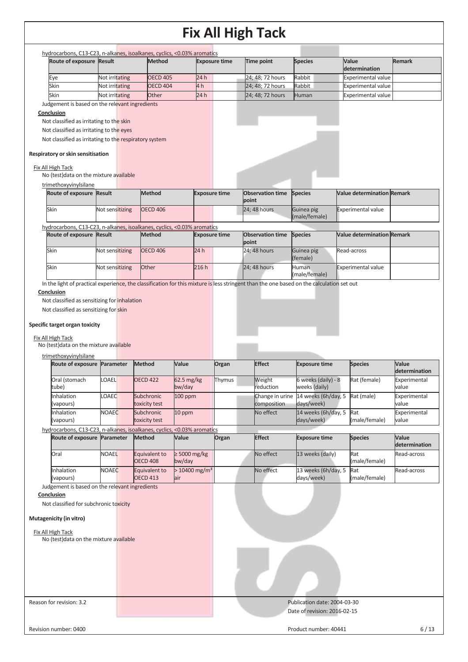| hydrocarbons, C13-C23, n-alkanes, isoalkanes, cyclics, <0.03% aromatics<br>Route of exposure Result                                                                                                                                                                                                                                                                                                                                                                                                                                                                                                                                |                                              | <b>Method</b>                    |                                    | <b>Exposure time</b> | <b>Time point</b>                                                                                                                         | <b>Species</b>                       | Value                             | Remark                                                                 |
|------------------------------------------------------------------------------------------------------------------------------------------------------------------------------------------------------------------------------------------------------------------------------------------------------------------------------------------------------------------------------------------------------------------------------------------------------------------------------------------------------------------------------------------------------------------------------------------------------------------------------------|----------------------------------------------|----------------------------------|------------------------------------|----------------------|-------------------------------------------------------------------------------------------------------------------------------------------|--------------------------------------|-----------------------------------|------------------------------------------------------------------------|
|                                                                                                                                                                                                                                                                                                                                                                                                                                                                                                                                                                                                                                    |                                              |                                  |                                    |                      |                                                                                                                                           |                                      | determination                     |                                                                        |
| Eye                                                                                                                                                                                                                                                                                                                                                                                                                                                                                                                                                                                                                                | Not irritating                               | <b>OECD 405</b>                  | 24h                                |                      | 24; 48; 72 hours                                                                                                                          | Rabbit                               | <b>Experimental value</b>         |                                                                        |
| Skin                                                                                                                                                                                                                                                                                                                                                                                                                                                                                                                                                                                                                               | Not irritating                               | <b>OECD 404</b>                  | 4h                                 |                      | 24; 48; 72 hours                                                                                                                          | Rabbit                               | <b>Experimental value</b>         |                                                                        |
| Skin                                                                                                                                                                                                                                                                                                                                                                                                                                                                                                                                                                                                                               | Not irritating                               | <b>Other</b>                     | 24h                                |                      | 24; 48; 72 hours                                                                                                                          | Human                                | <b>Experimental value</b>         |                                                                        |
| Judgement is based on the relevant ingredients                                                                                                                                                                                                                                                                                                                                                                                                                                                                                                                                                                                     |                                              |                                  |                                    |                      |                                                                                                                                           |                                      |                                   |                                                                        |
| Conclusion                                                                                                                                                                                                                                                                                                                                                                                                                                                                                                                                                                                                                         |                                              |                                  |                                    |                      |                                                                                                                                           |                                      |                                   |                                                                        |
| Not classified as irritating to the skin<br>Not classified as irritating to the eyes                                                                                                                                                                                                                                                                                                                                                                                                                                                                                                                                               |                                              |                                  |                                    |                      |                                                                                                                                           |                                      |                                   |                                                                        |
| Not classified as irritating to the respiratory system                                                                                                                                                                                                                                                                                                                                                                                                                                                                                                                                                                             |                                              |                                  |                                    |                      |                                                                                                                                           |                                      |                                   |                                                                        |
|                                                                                                                                                                                                                                                                                                                                                                                                                                                                                                                                                                                                                                    |                                              |                                  |                                    |                      |                                                                                                                                           |                                      |                                   |                                                                        |
| Respiratory or skin sensitisation                                                                                                                                                                                                                                                                                                                                                                                                                                                                                                                                                                                                  |                                              |                                  |                                    |                      |                                                                                                                                           |                                      |                                   |                                                                        |
| Fix All High Tack                                                                                                                                                                                                                                                                                                                                                                                                                                                                                                                                                                                                                  |                                              |                                  |                                    |                      |                                                                                                                                           |                                      |                                   |                                                                        |
| No (test) data on the mixture available                                                                                                                                                                                                                                                                                                                                                                                                                                                                                                                                                                                            |                                              |                                  |                                    |                      |                                                                                                                                           |                                      |                                   |                                                                        |
| trimethoxyvinylsilane                                                                                                                                                                                                                                                                                                                                                                                                                                                                                                                                                                                                              |                                              |                                  |                                    |                      |                                                                                                                                           |                                      |                                   |                                                                        |
| Route of exposure Result                                                                                                                                                                                                                                                                                                                                                                                                                                                                                                                                                                                                           |                                              | Method                           |                                    | <b>Exposure time</b> | <b>Observation time</b>                                                                                                                   | <b>Species</b>                       | <b>Value determination Remark</b> |                                                                        |
|                                                                                                                                                                                                                                                                                                                                                                                                                                                                                                                                                                                                                                    |                                              |                                  |                                    |                      | point                                                                                                                                     |                                      |                                   |                                                                        |
| Skin                                                                                                                                                                                                                                                                                                                                                                                                                                                                                                                                                                                                                               | Not sensitizing                              | <b>OECD 406</b>                  |                                    |                      | 24; 48 hours                                                                                                                              | Guinea pig<br>(male/female)          | Experimental value                |                                                                        |
| hydrocarbons, C13-C23, n-alkanes, isoalkanes, cyclics, <0.03% aromatics                                                                                                                                                                                                                                                                                                                                                                                                                                                                                                                                                            |                                              |                                  |                                    |                      |                                                                                                                                           |                                      |                                   |                                                                        |
| Route of exposure Result                                                                                                                                                                                                                                                                                                                                                                                                                                                                                                                                                                                                           |                                              | <b>Method</b>                    |                                    | <b>Exposure time</b> | <b>Observation time</b>                                                                                                                   | <b>Species</b>                       | <b>Value determination Remark</b> |                                                                        |
|                                                                                                                                                                                                                                                                                                                                                                                                                                                                                                                                                                                                                                    |                                              |                                  |                                    |                      | point                                                                                                                                     |                                      |                                   |                                                                        |
| Skin                                                                                                                                                                                                                                                                                                                                                                                                                                                                                                                                                                                                                               | Not sensitizing                              | <b>OECD 406</b>                  | 24h                                |                      | 24; 48 hours                                                                                                                              | Guinea pig                           | Read-across                       |                                                                        |
|                                                                                                                                                                                                                                                                                                                                                                                                                                                                                                                                                                                                                                    |                                              |                                  |                                    |                      |                                                                                                                                           | (female)                             |                                   |                                                                        |
| Skin                                                                                                                                                                                                                                                                                                                                                                                                                                                                                                                                                                                                                               | Not sensitizing                              | Other                            | 216h                               |                      | 24; 48 hours                                                                                                                              | Human<br>(male/female)               | Experimental value                |                                                                        |
|                                                                                                                                                                                                                                                                                                                                                                                                                                                                                                                                                                                                                                    |                                              |                                  |                                    |                      | In the light of practical experience, the classification for this mixture is less stringent than the one based on the calculation set out |                                      |                                   |                                                                        |
|                                                                                                                                                                                                                                                                                                                                                                                                                                                                                                                                                                                                                                    | Not classified as sensitizing for inhalation |                                  |                                    |                      |                                                                                                                                           |                                      |                                   |                                                                        |
|                                                                                                                                                                                                                                                                                                                                                                                                                                                                                                                                                                                                                                    |                                              |                                  |                                    |                      |                                                                                                                                           |                                      |                                   |                                                                        |
|                                                                                                                                                                                                                                                                                                                                                                                                                                                                                                                                                                                                                                    |                                              | Method                           | Value                              | Organ                | <b>Effect</b>                                                                                                                             | <b>Exposure time</b>                 | <b>Species</b>                    | Value                                                                  |
|                                                                                                                                                                                                                                                                                                                                                                                                                                                                                                                                                                                                                                    | OAEL                                         |                                  |                                    |                      |                                                                                                                                           |                                      |                                   |                                                                        |
|                                                                                                                                                                                                                                                                                                                                                                                                                                                                                                                                                                                                                                    |                                              | <b>OECD 422</b>                  | 62.5 mg/kg<br>bw/day               | Thymus               | Weight<br>reduction                                                                                                                       | 6 weeks (daily) - 8<br>weeks (daily) | Rat (female)                      | value                                                                  |
|                                                                                                                                                                                                                                                                                                                                                                                                                                                                                                                                                                                                                                    | OAEC                                         | Subchronic                       | 100 ppm                            |                      | Change in urine                                                                                                                           | 14 weeks (6h/day, 5                  | Rat (male)                        |                                                                        |
|                                                                                                                                                                                                                                                                                                                                                                                                                                                                                                                                                                                                                                    |                                              | toxicity test                    |                                    |                      | composition                                                                                                                               | days/week)                           |                                   | value                                                                  |
|                                                                                                                                                                                                                                                                                                                                                                                                                                                                                                                                                                                                                                    | <b>NOAEC</b>                                 | Subchronic                       | 10 ppm                             |                      | No effect                                                                                                                                 | 14 weeks (6h/day, 5                  | Rat                               |                                                                        |
|                                                                                                                                                                                                                                                                                                                                                                                                                                                                                                                                                                                                                                    |                                              | toxicity test                    |                                    |                      |                                                                                                                                           | days/week)                           | (male/female)                     | determination<br>Experimental<br>Experimental<br>Experimental<br>value |
|                                                                                                                                                                                                                                                                                                                                                                                                                                                                                                                                                                                                                                    |                                              | <b>Method</b>                    | Value                              | Organ                | <b>Effect</b>                                                                                                                             | <b>Exposure time</b>                 | <b>Species</b>                    | Value                                                                  |
|                                                                                                                                                                                                                                                                                                                                                                                                                                                                                                                                                                                                                                    |                                              |                                  |                                    |                      |                                                                                                                                           |                                      |                                   | determination                                                          |
|                                                                                                                                                                                                                                                                                                                                                                                                                                                                                                                                                                                                                                    | <b>NOAEL</b>                                 | Equivalent to                    | $\geq 5000$ mg/kg                  |                      | No effect                                                                                                                                 | 13 weeks (daily)                     | Rat                               |                                                                        |
|                                                                                                                                                                                                                                                                                                                                                                                                                                                                                                                                                                                                                                    |                                              | <b>OECD 408</b>                  | bw/day                             |                      |                                                                                                                                           |                                      | (male/female)                     |                                                                        |
|                                                                                                                                                                                                                                                                                                                                                                                                                                                                                                                                                                                                                                    | <b>NOAEC</b>                                 | Equivalent to<br><b>OECD 413</b> | $> 10400$ mg/m <sup>3</sup><br>air |                      | No effect                                                                                                                                 | 13 weeks (6h/day, 5<br>days/week)    | Rat<br>(male/female)              | Read-across<br>Read-across                                             |
|                                                                                                                                                                                                                                                                                                                                                                                                                                                                                                                                                                                                                                    |                                              |                                  |                                    |                      |                                                                                                                                           |                                      |                                   |                                                                        |
|                                                                                                                                                                                                                                                                                                                                                                                                                                                                                                                                                                                                                                    |                                              |                                  |                                    |                      |                                                                                                                                           |                                      |                                   |                                                                        |
|                                                                                                                                                                                                                                                                                                                                                                                                                                                                                                                                                                                                                                    |                                              |                                  |                                    |                      |                                                                                                                                           |                                      |                                   |                                                                        |
|                                                                                                                                                                                                                                                                                                                                                                                                                                                                                                                                                                                                                                    |                                              |                                  |                                    |                      |                                                                                                                                           |                                      |                                   |                                                                        |
|                                                                                                                                                                                                                                                                                                                                                                                                                                                                                                                                                                                                                                    |                                              |                                  |                                    |                      |                                                                                                                                           |                                      |                                   |                                                                        |
|                                                                                                                                                                                                                                                                                                                                                                                                                                                                                                                                                                                                                                    |                                              |                                  |                                    |                      |                                                                                                                                           |                                      |                                   |                                                                        |
|                                                                                                                                                                                                                                                                                                                                                                                                                                                                                                                                                                                                                                    |                                              |                                  |                                    |                      |                                                                                                                                           |                                      |                                   |                                                                        |
|                                                                                                                                                                                                                                                                                                                                                                                                                                                                                                                                                                                                                                    |                                              |                                  |                                    |                      |                                                                                                                                           |                                      |                                   |                                                                        |
| Not classified as sensitizing for skin<br>Specific target organ toxicity<br>Fix All High Tack<br>No (test) data on the mixture available<br>trimethoxyvinylsilane<br>Route of exposure Parameter<br>Oral (stomach<br>tube)<br>Inhalation<br>(vapours)<br>Inhalation<br>(vapours)<br>hydrocarbons, C13-C23, n-alkanes, isoalkanes, cyclics, <0.03% aromatics<br>Route of exposure Parameter<br>Oral<br>Inhalation<br>(vapours)<br>Judgement is based on the relevant ingredients<br>Conclusion<br>Not classified for subchronic toxicity<br>Mutagenicity (in vitro)<br>Fix All High Tack<br>No (test) data on the mixture available |                                              |                                  |                                    |                      |                                                                                                                                           |                                      |                                   |                                                                        |
|                                                                                                                                                                                                                                                                                                                                                                                                                                                                                                                                                                                                                                    |                                              |                                  |                                    |                      |                                                                                                                                           |                                      |                                   |                                                                        |
|                                                                                                                                                                                                                                                                                                                                                                                                                                                                                                                                                                                                                                    |                                              |                                  |                                    |                      |                                                                                                                                           |                                      |                                   |                                                                        |
|                                                                                                                                                                                                                                                                                                                                                                                                                                                                                                                                                                                                                                    |                                              |                                  |                                    |                      |                                                                                                                                           |                                      |                                   |                                                                        |
| Reason for revision: 3.2                                                                                                                                                                                                                                                                                                                                                                                                                                                                                                                                                                                                           |                                              |                                  |                                    |                      |                                                                                                                                           | Publication date: 2004-03-30         |                                   |                                                                        |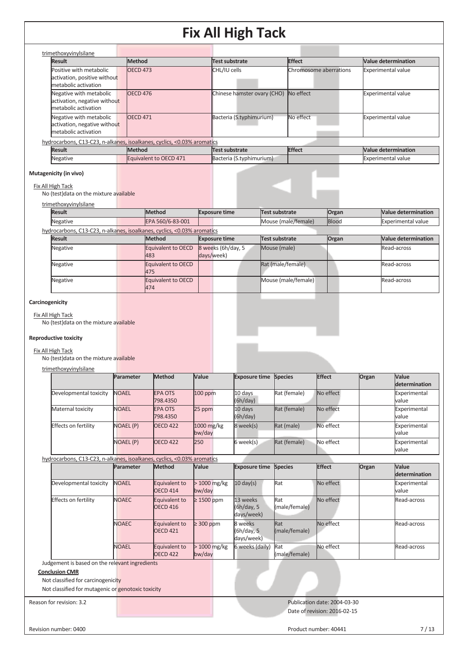| trimethoxyvinylsilane                                                                                                                                                                                                                                                                                              |                  |                                                               |                                  |                                      |                                   |                        |               |       |                                                                                                                                                             |
|--------------------------------------------------------------------------------------------------------------------------------------------------------------------------------------------------------------------------------------------------------------------------------------------------------------------|------------------|---------------------------------------------------------------|----------------------------------|--------------------------------------|-----------------------------------|------------------------|---------------|-------|-------------------------------------------------------------------------------------------------------------------------------------------------------------|
| <b>Result</b>                                                                                                                                                                                                                                                                                                      | <b>Method</b>    |                                                               |                                  | <b>Test substrate</b>                |                                   | <b>Effect</b>          |               |       | <b>Value determination</b>                                                                                                                                  |
| Positive with metabolic<br>activation, positive without<br>metabolic activation                                                                                                                                                                                                                                    | <b>OECD 473</b>  |                                                               |                                  | CHL/IU cells                         |                                   | Chromosome aberrations |               |       | <b>Experimental value</b>                                                                                                                                   |
| Negative with metabolic<br>activation, negative without<br>metabolic activation                                                                                                                                                                                                                                    | <b>OECD 476</b>  |                                                               |                                  | Chinese hamster ovary (CHO)          |                                   | No effect              |               |       | Experimental value                                                                                                                                          |
| Negative with metabolic<br>activation, negative without<br>metabolic activation                                                                                                                                                                                                                                    | <b>OECD 471</b>  |                                                               |                                  | Bacteria (S.typhimurium)             |                                   | No effect              |               |       | <b>Experimental value</b>                                                                                                                                   |
| hydrocarbons, C13-C23, n-alkanes, isoalkanes, cyclics, <0.03% aromatics                                                                                                                                                                                                                                            |                  |                                                               |                                  |                                      |                                   |                        |               |       |                                                                                                                                                             |
| <b>Result</b>                                                                                                                                                                                                                                                                                                      | <b>Method</b>    |                                                               |                                  | <b>Test substrate</b>                |                                   | <b>Effect</b>          |               |       | <b>Value determination</b>                                                                                                                                  |
| Negative                                                                                                                                                                                                                                                                                                           |                  | Equivalent to OECD 471                                        |                                  | Bacteria (S.typhimurium)             |                                   |                        |               |       | Experimental value                                                                                                                                          |
| Mutagenicity (in vivo)<br>Fix All High Tack                                                                                                                                                                                                                                                                        |                  |                                                               |                                  |                                      |                                   |                        |               |       |                                                                                                                                                             |
| No (test) data on the mixture available<br>trimethoxyvinylsilane                                                                                                                                                                                                                                                   |                  |                                                               |                                  |                                      |                                   |                        |               |       |                                                                                                                                                             |
| <b>Result</b>                                                                                                                                                                                                                                                                                                      |                  | <b>Method</b>                                                 | <b>Exposure time</b>             |                                      | <b>Test substrate</b>             |                        | Organ         |       | <b>Value determination</b>                                                                                                                                  |
| Negative                                                                                                                                                                                                                                                                                                           |                  | EPA 560/6-83-001                                              |                                  |                                      | Mouse (male/female)               |                        | Blood         |       | <b>Experimental value</b>                                                                                                                                   |
| hydrocarbons, C13-C23, n-alkanes, isoalkanes, cyclics, <0.03% aromatics                                                                                                                                                                                                                                            |                  |                                                               |                                  |                                      |                                   |                        |               |       |                                                                                                                                                             |
| <b>Result</b>                                                                                                                                                                                                                                                                                                      |                  | <b>Method</b>                                                 | <b>Exposure time</b>             |                                      | Test substrate                    |                        | Organ         |       | <b>Value determination</b>                                                                                                                                  |
| Negative<br>Negative                                                                                                                                                                                                                                                                                               |                  | <b>Equivalent to OECD</b><br>483<br><b>Equivalent to OECD</b> | 8 weeks (6h/day, 5<br>days/week) |                                      | Mouse (male)<br>Rat (male/female) |                        |               |       | Read-across<br>Read-across                                                                                                                                  |
|                                                                                                                                                                                                                                                                                                                    |                  | 475                                                           |                                  |                                      |                                   |                        |               |       |                                                                                                                                                             |
| Negative                                                                                                                                                                                                                                                                                                           |                  | <b>Equivalent to OECD</b><br>474                              |                                  |                                      | Mouse (male/female)               |                        |               |       | Read-across                                                                                                                                                 |
|                                                                                                                                                                                                                                                                                                                    |                  |                                                               |                                  |                                      |                                   |                        |               |       |                                                                                                                                                             |
|                                                                                                                                                                                                                                                                                                                    |                  |                                                               |                                  |                                      |                                   |                        |               |       |                                                                                                                                                             |
|                                                                                                                                                                                                                                                                                                                    | Parameter        | <b>Method</b>                                                 | Value                            | <b>Exposure time</b>                 | <b>Species</b>                    |                        | <b>Effect</b> | Organ | Value                                                                                                                                                       |
| Developmental toxicity                                                                                                                                                                                                                                                                                             | <b>NOAEL</b>     | <b>EPA OTS</b><br>798.4350                                    | 100 ppm                          | 10 days<br>(6h/day)                  | Rat (female)                      |                        | No effect     |       | value                                                                                                                                                       |
| Maternal toxicity                                                                                                                                                                                                                                                                                                  | <b>NOAEL</b>     | <b>EPA OTS</b><br>798.4350                                    | 25 ppm                           | 10 days<br>(6h/day)                  | Rat (female)                      |                        | No effect     |       | value                                                                                                                                                       |
| Effects on fertility                                                                                                                                                                                                                                                                                               | NOAEL (P)        | <b>OECD 422</b>                                               | 1000 mg/kg<br>bw/day             | 8 week(s)                            | Rat (male)                        |                        | No effect     |       | value                                                                                                                                                       |
|                                                                                                                                                                                                                                                                                                                    | <b>NOAEL (P)</b> | <b>OECD 422</b>                                               | 250                              | 6 week(s)                            | Rat (female)                      |                        | No effect     |       | value                                                                                                                                                       |
|                                                                                                                                                                                                                                                                                                                    | Parameter        | <b>Method</b>                                                 | Value                            | <b>Exposure time</b>                 | <b>Species</b>                    |                        | <b>Effect</b> | Organ | Value                                                                                                                                                       |
| Developmental toxicity                                                                                                                                                                                                                                                                                             | <b>NOAEL</b>     | Equivalent to<br><b>OECD 414</b>                              | > 1000 mg/kg<br>bw/day           | $10 \text{ day(s)}$                  | Rat                               |                        | No effect     |       | value                                                                                                                                                       |
| Effects on fertility                                                                                                                                                                                                                                                                                               | <b>NOAEC</b>     | Equivalent to<br><b>OECD 416</b>                              | $\geq 1500$ ppm                  | 13 weeks<br>(6h/day, 5<br>days/week) | Rat<br>(male/female)              |                        | No effect     |       |                                                                                                                                                             |
|                                                                                                                                                                                                                                                                                                                    | <b>NOAEC</b>     | Equivalent to<br><b>OECD 421</b>                              | $\geq$ 300 ppm                   | 8 weeks<br>(6h/day, 5<br>days/week)  | Rat<br>(male/female)              |                        | No effect     |       |                                                                                                                                                             |
|                                                                                                                                                                                                                                                                                                                    | <b>NOAEL</b>     | Equivalent to<br><b>OECD 422</b>                              | > 1000 mg/kg<br>bw/day           | 6 weeks (daily)                      | Rat<br>(male/female)              |                        | No effect     |       | determination<br>Experimental<br>Experimental<br>Experimental<br>Experimental<br>determination<br>Experimental<br>Read-across<br>Read-across<br>Read-across |
| Fix All High Tack<br>No (test) data on the mixture available<br><b>Reproductive toxicity</b><br>Fix All High Tack<br>No (test) data on the mixture available<br>trimethoxyvinylsilane<br>hydrocarbons, C13-C23, n-alkanes, isoalkanes, cyclics, <0.03% aromatics<br>Judgement is based on the relevant ingredients |                  |                                                               |                                  |                                      |                                   |                        |               |       |                                                                                                                                                             |
| <b>Conclusion CMR</b><br>Not classified for carcinogenicity<br>Not classified for mutagenic or genotoxic toxicity                                                                                                                                                                                                  |                  |                                                               |                                  |                                      |                                   |                        |               |       |                                                                                                                                                             |

Date of revision: 2016-02-15

Revision number: 0400 7/13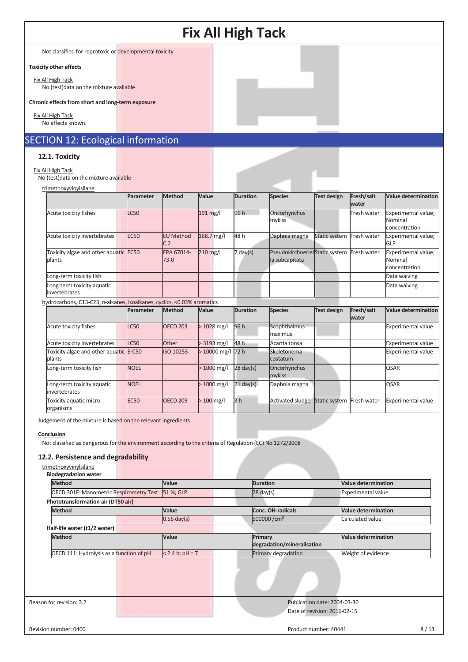Not classified for reprotoxic or developmental toxicity

### **Toxicity other effects**

Fix All High Tack No (test)data on the mixture available

#### **Chronic effects from short and long-term exposure**

Fix All High Tack No effects known.

# SECTION 12: Ecological information

### **12.1. Toxicity**

## Fix All High Tack

No (test)data on the mixture available

| trimethoxyvinylsilane                           |                  |                         |            |                    |                                                   |               |                     |                                                 |
|-------------------------------------------------|------------------|-------------------------|------------|--------------------|---------------------------------------------------|---------------|---------------------|-------------------------------------------------|
|                                                 | Parameter        | <b>Method</b>           | Value      | <b>Duration</b>    | <b>Species</b>                                    | Test design   | Fresh/salt<br>water | <b>Value determination</b>                      |
| Acute toxicity fishes                           | LC50             |                         | 191 mg/l   | 96 h               | Oncorhynchus<br>mykiss                            |               | Fresh water         | Experimental value;<br>Nominal<br>concentration |
| Acute toxicity invertebrates                    | EC <sub>50</sub> | <b>EU Method</b><br>C.2 | 168.7 mg/l | 48 h               | Daphnia magna                                     | Static system | Fresh water         | Experimental value;<br><b>GLP</b>               |
| Toxicity algae and other aquatic EC50<br>plants |                  | EPA 67014-<br>$73-0$    | $210$ mg/l | $7 \text{ day}(s)$ | Pseudokirchneriel Static system<br>la subcapitata |               | Fresh water         | Experimental value;<br>Nominal<br>concentration |
| Long-term toxicity fish                         |                  |                         |            |                    |                                                   |               |                     | Data waiving                                    |
| Long-term toxicity aquatic<br>invertebrates     |                  |                         |            |                    |                                                   |               |                     | Data waiving                                    |

## hydrocarbons, C13-C23, n-alkanes, isoalkanes, cyclics, <0.03% aromatics

|                                                  | Parameter        | <b>Method</b>    | <b>Value</b>       | <b>Duration</b>     | <b>Species</b>          | <b>Test design</b> | Fresh/salt<br>water | <b>Value determination</b> |
|--------------------------------------------------|------------------|------------------|--------------------|---------------------|-------------------------|--------------------|---------------------|----------------------------|
| Acute toxicity fishes                            | LC50             | <b>OECD 203</b>  | $>1028$ mg/l       | 96 h                | Scophthalmus<br>maximus |                    |                     | <b>Experimental value</b>  |
| Acute toxicity invertebrates                     | LC50             | Other            | $> 3193$ mg/l      | 48 h                | Acartia tonsa           |                    |                     | <b>Experimental value</b>  |
| Toxicity algae and other aquatic ErC50<br>plants |                  | <b>ISO 10253</b> | $>10000$ mg/l 72 h |                     | Skeletonema<br>costatum |                    |                     | <b>Experimental value</b>  |
| Long-term toxicity fish                          | <b>NOEL</b>      |                  | $>1000$ mg/l       | $28 \text{ day(s)}$ | Oncorhynchus<br>mykiss  |                    |                     | <b>QSAR</b>                |
| Long-term toxicity aquatic<br>invertebrates      | <b>NOEL</b>      |                  | $>1000$ mg/l       | $21 \text{ day(s)}$ | Daphnia magna           |                    |                     | <b>QSAR</b>                |
| Toxicity aquatic micro-<br>organisms             | EC <sub>50</sub> | <b>OECD 209</b>  | $>100$ mg/l        | 3 <sub>h</sub>      | Activated sludge        | Static system      | Fresh water         | <b>Experimental value</b>  |

Judgement of the mixture is based on the relevant ingredients

#### **Conclusion**

Not classified as dangerous for the environment according to the criteria of Regulation (EC) No 1272/2008

### **12.2. Persistence and degradability**

trimethoxyvinylsilane **Biodegradation water**

| <b>DIUUCKI QUALIUII WALCI</b>                     |                    |                                       |                            |
|---------------------------------------------------|--------------------|---------------------------------------|----------------------------|
| <b>Method</b>                                     | Value              | <b>Duration</b>                       | <b>Value determination</b> |
| OECD 301F: Manometric Respirometry Test 51 %; GLP |                    | $28$ day(s)                           | Experimental value         |
| Phototransformation air (DT50 air)                |                    |                                       |                            |
| <b>Method</b>                                     | Value              | <b>Conc. OH-radicals</b>              | <b>Value determination</b> |
|                                                   | $0.56$ day(s)      | 500000/cm <sup>3</sup>                | Calculated value           |
| Half-life water (t1/2 water)                      |                    |                                       |                            |
| <b>Method</b>                                     | Value              | Primary<br>degradation/mineralisation | <b>Value determination</b> |
| OECD 111: Hydrolysis as a function of pH          | $< 2.4 h$ ; pH = 7 | Primary degradation                   | Weight of evidence         |
|                                                   |                    |                                       |                            |
| Reason for revision: 3.2                          |                    | Publication date: 2004-03-30          |                            |
|                                                   |                    | Date of revision: 2016-02-15          |                            |
| Revision number: 0400                             |                    | Product number: 40441                 | 8/13                       |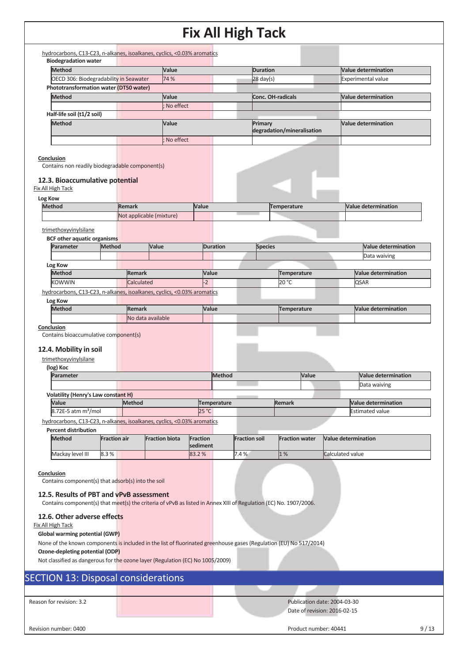| hydrocarbons, C13-C23, n-alkanes, isoalkanes, cyclics, <0.03% aromatics<br><b>Biodegradation water</b>                                                                                                                                                                                                                                                                                                                                                                                                  |                     |               |                          |                 |                    |                           |                            |                                                              |
|---------------------------------------------------------------------------------------------------------------------------------------------------------------------------------------------------------------------------------------------------------------------------------------------------------------------------------------------------------------------------------------------------------------------------------------------------------------------------------------------------------|---------------------|---------------|--------------------------|-----------------|--------------------|---------------------------|----------------------------|--------------------------------------------------------------|
| Method                                                                                                                                                                                                                                                                                                                                                                                                                                                                                                  |                     |               | Value                    |                 |                    | <b>Duration</b>           |                            | <b>Value determination</b>                                   |
| OECD 306: Biodegradability in Seawater                                                                                                                                                                                                                                                                                                                                                                                                                                                                  |                     | 74 %          |                          | $28$ day(s)     |                    | <b>Experimental value</b> |                            |                                                              |
| Phototransformation water (DT50 water)                                                                                                                                                                                                                                                                                                                                                                                                                                                                  |                     |               |                          |                 |                    |                           |                            |                                                              |
| <b>Method</b>                                                                                                                                                                                                                                                                                                                                                                                                                                                                                           |                     |               | Value                    |                 |                    |                           | <b>Conc. OH-radicals</b>   | <b>Value determination</b>                                   |
|                                                                                                                                                                                                                                                                                                                                                                                                                                                                                                         |                     |               | No effect                |                 |                    |                           |                            |                                                              |
|                                                                                                                                                                                                                                                                                                                                                                                                                                                                                                         |                     |               |                          |                 |                    |                           |                            |                                                              |
| Half-life soil (t1/2 soil)                                                                                                                                                                                                                                                                                                                                                                                                                                                                              |                     |               |                          |                 |                    |                           |                            |                                                              |
| Method                                                                                                                                                                                                                                                                                                                                                                                                                                                                                                  |                     |               | Value                    |                 |                    | Primary                   | degradation/mineralisation | <b>Value determination</b>                                   |
|                                                                                                                                                                                                                                                                                                                                                                                                                                                                                                         |                     |               | No effect                |                 |                    |                           |                            |                                                              |
|                                                                                                                                                                                                                                                                                                                                                                                                                                                                                                         |                     |               |                          |                 |                    |                           |                            |                                                              |
| Conclusion<br>Contains non readily biodegradable component(s)                                                                                                                                                                                                                                                                                                                                                                                                                                           |                     |               |                          |                 |                    |                           |                            |                                                              |
| 12.3. Bioaccumulative potential<br>Fix All High Tack                                                                                                                                                                                                                                                                                                                                                                                                                                                    |                     |               |                          |                 |                    |                           |                            |                                                              |
| Log Kow                                                                                                                                                                                                                                                                                                                                                                                                                                                                                                 |                     |               |                          |                 |                    |                           |                            |                                                              |
| <b>Method</b>                                                                                                                                                                                                                                                                                                                                                                                                                                                                                           |                     | <b>Remark</b> |                          | Value           |                    |                           | <b>Temperature</b>         | <b>Value determination</b>                                   |
|                                                                                                                                                                                                                                                                                                                                                                                                                                                                                                         |                     |               | Not applicable (mixture) |                 |                    |                           |                            |                                                              |
|                                                                                                                                                                                                                                                                                                                                                                                                                                                                                                         |                     |               |                          |                 |                    |                           |                            |                                                              |
| trimethoxyvinylsilane                                                                                                                                                                                                                                                                                                                                                                                                                                                                                   |                     |               |                          |                 |                    |                           |                            |                                                              |
| <b>BCF other aquatic organisms</b>                                                                                                                                                                                                                                                                                                                                                                                                                                                                      |                     |               |                          |                 |                    |                           |                            |                                                              |
| Parameter                                                                                                                                                                                                                                                                                                                                                                                                                                                                                               | <b>Method</b>       |               | Value                    |                 | <b>Duration</b>    | <b>Species</b>            |                            | <b>Value determination</b>                                   |
|                                                                                                                                                                                                                                                                                                                                                                                                                                                                                                         |                     |               |                          |                 |                    |                           |                            | Data waiving                                                 |
| Log Kow                                                                                                                                                                                                                                                                                                                                                                                                                                                                                                 |                     |               |                          |                 |                    |                           |                            |                                                              |
| Method                                                                                                                                                                                                                                                                                                                                                                                                                                                                                                  |                     | <b>Remark</b> |                          |                 | Value              |                           | <b>Temperature</b>         | <b>Value determination</b>                                   |
| <b>KOWWIN</b>                                                                                                                                                                                                                                                                                                                                                                                                                                                                                           |                     | Calculated    |                          | $-2$            |                    |                           | 20 °C                      | <b>QSAR</b>                                                  |
| hydrocarbons, C13-C23, n-alkanes, isoalkanes, cyclics, <0.03% aromatics                                                                                                                                                                                                                                                                                                                                                                                                                                 |                     |               |                          |                 |                    |                           |                            |                                                              |
| Log Kow                                                                                                                                                                                                                                                                                                                                                                                                                                                                                                 |                     |               |                          |                 |                    |                           |                            |                                                              |
|                                                                                                                                                                                                                                                                                                                                                                                                                                                                                                         |                     |               |                          |                 |                    |                           |                            |                                                              |
| <b>Method</b>                                                                                                                                                                                                                                                                                                                                                                                                                                                                                           |                     | <b>Remark</b> |                          |                 | Value              |                           | Temperature                | <b>Value determination</b>                                   |
|                                                                                                                                                                                                                                                                                                                                                                                                                                                                                                         |                     |               | No data available        |                 |                    |                           |                            |                                                              |
|                                                                                                                                                                                                                                                                                                                                                                                                                                                                                                         |                     |               |                          |                 |                    |                           |                            |                                                              |
| Parameter                                                                                                                                                                                                                                                                                                                                                                                                                                                                                               |                     |               |                          |                 | <b>Method</b>      |                           | Value                      | <b>Value determination</b>                                   |
|                                                                                                                                                                                                                                                                                                                                                                                                                                                                                                         |                     |               |                          |                 |                    |                           |                            | Data waiving                                                 |
|                                                                                                                                                                                                                                                                                                                                                                                                                                                                                                         |                     |               |                          |                 |                    |                           |                            |                                                              |
| Value                                                                                                                                                                                                                                                                                                                                                                                                                                                                                                   |                     | Method        |                          |                 | <b>Temperature</b> |                           | <b>Remark</b>              | <b>Value determination</b>                                   |
| 8.72E-5 atm m <sup>3</sup> /mol                                                                                                                                                                                                                                                                                                                                                                                                                                                                         |                     |               |                          | 25 °C           |                    |                           |                            | <b>Estimated value</b>                                       |
|                                                                                                                                                                                                                                                                                                                                                                                                                                                                                                         |                     |               |                          |                 |                    |                           |                            |                                                              |
| (log) Koc<br><b>Volatility (Henry's Law constant H)</b><br><b>Percent distribution</b><br><b>Method</b>                                                                                                                                                                                                                                                                                                                                                                                                 | <b>Fraction air</b> |               | <b>Fraction biota</b>    | <b>Fraction</b> |                    | <b>Fraction soil</b>      | <b>Fraction water</b>      | <b>Value determination</b>                                   |
| Conclusion<br>Contains bioaccumulative component(s)<br>12.4. Mobility in soil<br>trimethoxyvinylsilane<br>hydrocarbons, C13-C23, n-alkanes, isoalkanes, cyclics, <0.03% aromatics                                                                                                                                                                                                                                                                                                                       |                     |               |                          | sediment        |                    |                           |                            |                                                              |
| Mackay level III                                                                                                                                                                                                                                                                                                                                                                                                                                                                                        | 8.3%                |               |                          | 83.2%           |                    | 7.4%                      | 1%                         | Calculated value                                             |
| Conclusion<br>Contains component(s) that adsorb(s) into the soil<br>12.5. Results of PBT and vPvB assessment                                                                                                                                                                                                                                                                                                                                                                                            |                     |               |                          |                 |                    |                           |                            |                                                              |
|                                                                                                                                                                                                                                                                                                                                                                                                                                                                                                         |                     |               |                          |                 |                    |                           |                            |                                                              |
|                                                                                                                                                                                                                                                                                                                                                                                                                                                                                                         |                     |               |                          |                 |                    |                           |                            |                                                              |
|                                                                                                                                                                                                                                                                                                                                                                                                                                                                                                         |                     |               |                          |                 |                    |                           |                            |                                                              |
|                                                                                                                                                                                                                                                                                                                                                                                                                                                                                                         |                     |               |                          |                 |                    |                           |                            |                                                              |
|                                                                                                                                                                                                                                                                                                                                                                                                                                                                                                         |                     |               |                          |                 |                    |                           |                            |                                                              |
|                                                                                                                                                                                                                                                                                                                                                                                                                                                                                                         |                     |               |                          |                 |                    |                           |                            |                                                              |
|                                                                                                                                                                                                                                                                                                                                                                                                                                                                                                         |                     |               |                          |                 |                    |                           |                            |                                                              |
| Contains component(s) that meet(s) the criteria of vPvB as listed in Annex XIII of Regulation (EC) No. 1907/2006.<br>12.6. Other adverse effects<br><b>Fix All High Tack</b><br>Global warming potential (GWP)<br>None of the known components is included in the list of fluorinated greenhouse gases (Regulation (EU) No 517/2014)<br>Ozone-depleting potential (ODP)<br>Not classified as dangerous for the ozone layer (Regulation (EC) No 1005/2009)<br><b>SECTION 13: Disposal considerations</b> |                     |               |                          |                 |                    |                           |                            |                                                              |
|                                                                                                                                                                                                                                                                                                                                                                                                                                                                                                         |                     |               |                          |                 |                    |                           |                            |                                                              |
| Reason for revision: 3.2                                                                                                                                                                                                                                                                                                                                                                                                                                                                                |                     |               |                          |                 |                    |                           |                            | Publication date: 2004-03-30<br>Date of revision: 2016-02-15 |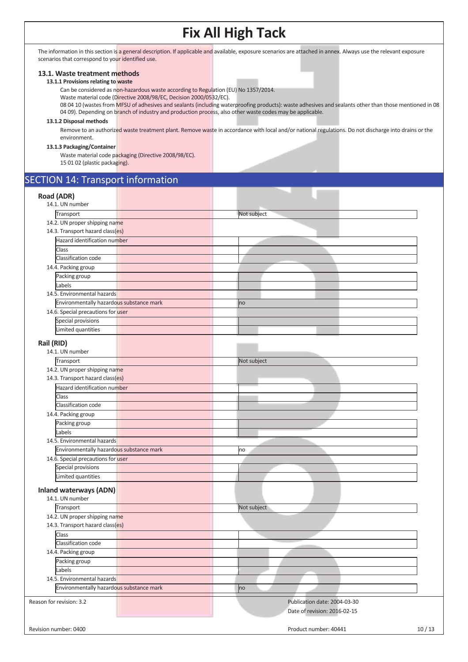The information in this section is a general description. If applicable and available, exposure scenarios are attached in annex. Always use the relevant exposure scenarios that correspond to your identified use.

#### **13.1. Waste treatment methods**

## **13.1.1 Provisions relating to waste**

Can be considered as non-hazardous waste according to Regulation (EU) No 1357/2014.

Waste material code (Directive 2008/98/EC, Decision 2000/0532/EC).

08 04 10 (wastes from MFSU of adhesives and sealants (including waterproofing products): waste adhesives and sealants other than those mentioned in 08 04 09). Depending on branch of industry and production process, also other waste codes may be applicable.

#### **13.1.2 Disposal methods**

Remove to an authorized waste treatment plant. Remove waste in accordance with local and/or national regulations. Do not discharge into drains or the environment.

#### **13.1.3 Packaging/Container**

Waste material code packaging (Directive 2008/98/EC). 15 01 02 (plastic packaging).

# SECTION 14: Transport information

| Road (ADR)                                       |                              |       |
|--------------------------------------------------|------------------------------|-------|
| 14.1. UN number                                  |                              |       |
| Transport                                        | Not subject                  |       |
| 14.2. UN proper shipping name                    |                              |       |
| 14.3. Transport hazard class(es)                 |                              |       |
| Hazard identification number                     |                              |       |
| Class                                            |                              |       |
| Classification code                              |                              |       |
| 14.4. Packing group                              |                              |       |
| Packing group                                    |                              |       |
| Labels                                           |                              |       |
| 14.5. Environmental hazards                      |                              |       |
| Environmentally hazardous substance mark         | no                           |       |
| 14.6. Special precautions for user               |                              |       |
| Special provisions                               |                              |       |
| Limited quantities                               |                              |       |
| Rail (RID)                                       |                              |       |
| 14.1. UN number                                  |                              |       |
| Transport                                        | Not subject                  |       |
| 14.2. UN proper shipping name                    |                              |       |
| 14.3. Transport hazard class(es)                 |                              |       |
| Hazard identification number                     |                              |       |
| Class                                            |                              |       |
| Classification code                              |                              |       |
| 14.4. Packing group                              |                              |       |
| Packing group                                    |                              |       |
| Labels                                           |                              |       |
| 14.5. Environmental hazards                      |                              |       |
| Environmentally hazardous substance mark         | no                           |       |
| 14.6. Special precautions for user               |                              |       |
| Special provisions                               |                              |       |
| Limited quantities                               |                              |       |
| <b>Inland waterways (ADN)</b><br>14.1. UN number |                              |       |
| Transport                                        | Not subject                  |       |
| 14.2. UN proper shipping name                    |                              |       |
| 14.3. Transport hazard class(es)                 |                              |       |
| Class                                            |                              |       |
| Classification code                              |                              |       |
| 14.4. Packing group                              |                              |       |
| Packing group                                    |                              |       |
| Labels                                           |                              |       |
| 14.5. Environmental hazards                      |                              |       |
| Environmentally hazardous substance mark         | no                           |       |
| Reason for revision: 3.2                         |                              |       |
|                                                  | Publication date: 2004-03-30 |       |
|                                                  | Date of revision: 2016-02-15 |       |
| Revision number: 0400                            | Product number: 40441        | 10/13 |
|                                                  |                              |       |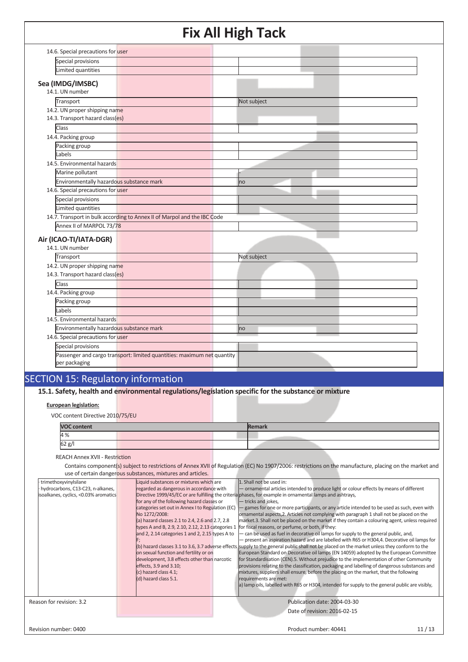|                                          | -- - - - <b>0</b>                                                        | -           |
|------------------------------------------|--------------------------------------------------------------------------|-------------|
| 14.6. Special precautions for user       |                                                                          |             |
| Special provisions                       |                                                                          |             |
| Limited quantities                       |                                                                          |             |
| Sea (IMDG/IMSBC)                         |                                                                          |             |
| 14.1. UN number                          |                                                                          |             |
| Transport                                |                                                                          | Not subject |
| 14.2. UN proper shipping name            |                                                                          |             |
| 14.3. Transport hazard class(es)         |                                                                          |             |
| Class                                    |                                                                          |             |
| 14.4. Packing group                      |                                                                          |             |
| Packing group                            |                                                                          |             |
| Labels                                   |                                                                          |             |
| 14.5. Environmental hazards              |                                                                          |             |
| Marine pollutant                         |                                                                          |             |
| Environmentally hazardous substance mark |                                                                          | no          |
| 14.6. Special precautions for user       |                                                                          |             |
| Special provisions                       |                                                                          |             |
| Limited quantities                       |                                                                          |             |
|                                          | 14.7. Transport in bulk according to Annex II of Marpol and the IBC Code |             |
| Annex II of MARPOL 73/78                 |                                                                          |             |
| Air (ICAO-TI/IATA-DGR)                   |                                                                          |             |
| 14.1. UN number                          |                                                                          |             |
| Transport                                |                                                                          | Not subject |
| 14.2. UN proper shipping name            |                                                                          |             |
| 14.3. Transport hazard class(es)         |                                                                          |             |
| Class                                    |                                                                          |             |
| 14.4. Packing group                      |                                                                          |             |
| Packing group                            |                                                                          |             |
| Labels                                   |                                                                          |             |
| 14.5. Environmental hazards              |                                                                          |             |
| Environmentally hazardous substance mark |                                                                          | no          |
| 14.6. Special precautions for user       |                                                                          |             |
| Special provisions                       |                                                                          |             |
|                                          | Passenger and cargo transport: limited quantities: maximum net quantity  |             |
| per packaging                            |                                                                          |             |
|                                          |                                                                          |             |

# SECTION 15: Regulatory information

**15.1. Safety, health and environmental regulations/legislation specific for the substance or mixture**

### **European legislation:**

VOC content Directive 2010/75/EU

| <b>VOC content</b> |  | Remark |
|--------------------|--|--------|
| 4 %                |  |        |
| 62 g/              |  |        |

REACH Annex XVII - Restriction

Contains component(s) subject to restrictions of Annex XVII of Regulation (EC) No 1907/2006: restrictions on the manufacture, placing on the market and use of certain dangerous substances, mixtures and articles.

| trimethoxyvinylsilane<br>hydrocarbons, C13-C23, n-alkanes,<br>isoalkanes, cyclics, <0.03% aromatics | Liquid substances or mixtures which are<br>regarded as dangerous in accordance with<br>for any of the following hazard classes or<br>categories set out in Annex I to Regulation (EC)<br>No 1272/2008:<br>(a) hazard classes 2.1 to 2.4, 2.6 and 2.7, 2.8<br>types A and B, 2.9, 2.10, 2.12, 2.13 categories 1<br>and 2, 2.14 categories 1 and 2, 2.15 types A to<br>on sexual function and fertility or on<br>development, 3.8 effects other than narcotic<br>effects, 3.9 and 3.10;<br>(c) hazard class 4.1;<br>(d) hazard class 5.1. | 1. Shall not be used in:<br>- ornamental articles intended to produce light or colour effects by means of different<br>Directive 1999/45/EC or are fulfilling the criteria phases, for example in ornamental lamps and ashtrays,<br>- tricks and jokes,<br>games for one or more participants, or any article intended to be used as such, even with<br>ornamental aspects, 2. Articles not complying with paragraph 1 shall not be placed on the<br>market.3. Shall not be placed on the market if they contain a colouring agent, unless required<br>for fiscal reasons, or perfume, or both, if they:<br>- can be used as fuel in decorative oil lamps for supply to the general public, and,<br>- present an aspiration hazard and are labelled with R65 or H304,4. Decorative oil lamps for<br>(b) hazard classes 3.1 to 3.6, 3.7 adverse effects supply to the general public shall not be placed on the market unless they conform to the<br>European Standard on Decorative oil lamps (EN 14059) adopted by the European Committee<br>for Standardisation (CEN).5. Without prejudice to the implementation of other Community<br>provisions relating to the classification, packaging and labelling of dangerous substances and<br>mixtures, suppliers shall ensure, before the placing on the market, that the following<br>requirements are met:<br>a) lamp oils, labelled with R65 or H304, intended for supply to the general public are visibly, |       |
|-----------------------------------------------------------------------------------------------------|-----------------------------------------------------------------------------------------------------------------------------------------------------------------------------------------------------------------------------------------------------------------------------------------------------------------------------------------------------------------------------------------------------------------------------------------------------------------------------------------------------------------------------------------|---------------------------------------------------------------------------------------------------------------------------------------------------------------------------------------------------------------------------------------------------------------------------------------------------------------------------------------------------------------------------------------------------------------------------------------------------------------------------------------------------------------------------------------------------------------------------------------------------------------------------------------------------------------------------------------------------------------------------------------------------------------------------------------------------------------------------------------------------------------------------------------------------------------------------------------------------------------------------------------------------------------------------------------------------------------------------------------------------------------------------------------------------------------------------------------------------------------------------------------------------------------------------------------------------------------------------------------------------------------------------------------------------------------------------------------------------------------|-------|
| Reason for revision: 3.2                                                                            |                                                                                                                                                                                                                                                                                                                                                                                                                                                                                                                                         | Publication date: 2004-03-30<br>Date of revision: 2016-02-15                                                                                                                                                                                                                                                                                                                                                                                                                                                                                                                                                                                                                                                                                                                                                                                                                                                                                                                                                                                                                                                                                                                                                                                                                                                                                                                                                                                                  |       |
| Revision number: 0400                                                                               |                                                                                                                                                                                                                                                                                                                                                                                                                                                                                                                                         | Product number: 40441                                                                                                                                                                                                                                                                                                                                                                                                                                                                                                                                                                                                                                                                                                                                                                                                                                                                                                                                                                                                                                                                                                                                                                                                                                                                                                                                                                                                                                         | 11/13 |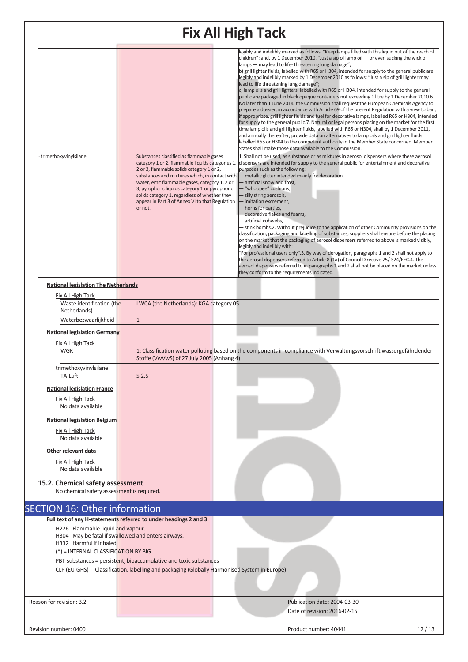|                          |                                                                                         | <b>Fix All High Tack</b>                                                                                                                                                                                                                                                                                                                                                                                      |                                                                                                                                                                                                                                                                                                                                                                                                                                                                                                                                                                                                                                                                                                                                                                                                                                                                                                                                                                                                                                                                                                                                                                                                                                                                                                                                                                                                                                                                     |
|--------------------------|-----------------------------------------------------------------------------------------|---------------------------------------------------------------------------------------------------------------------------------------------------------------------------------------------------------------------------------------------------------------------------------------------------------------------------------------------------------------------------------------------------------------|---------------------------------------------------------------------------------------------------------------------------------------------------------------------------------------------------------------------------------------------------------------------------------------------------------------------------------------------------------------------------------------------------------------------------------------------------------------------------------------------------------------------------------------------------------------------------------------------------------------------------------------------------------------------------------------------------------------------------------------------------------------------------------------------------------------------------------------------------------------------------------------------------------------------------------------------------------------------------------------------------------------------------------------------------------------------------------------------------------------------------------------------------------------------------------------------------------------------------------------------------------------------------------------------------------------------------------------------------------------------------------------------------------------------------------------------------------------------|
|                          |                                                                                         |                                                                                                                                                                                                                                                                                                                                                                                                               | legibly and indelibly marked as follows: "Keep lamps filled with this liquid out of the reach of<br>children"; and, by 1 December 2010, "Just a sip of lamp oil $-$ or even sucking the wick of<br>lamps - may lead to life-threatening lung damage";<br>b) grill lighter fluids, labelled with R65 or H304, intended for supply to the general public are<br>legibly and indelibly marked by 1 December 2010 as follows: "Just a sip of grill lighter may<br>lead to life threatening lung damage";<br>c) lamp oils and grill lighters, labelled with R65 or H304, intended for supply to the general<br>public are packaged in black opaque containers not exceeding 1 litre by 1 December 2010.6.<br>No later than 1 June 2014, the Commission shall request the European Chemicals Agency to<br>prepare a dossier, in accordance with Article 69 of the present Regulation with a view to ban,<br>if appropriate, grill lighter fluids and fuel for decorative lamps, labelled R65 or H304, intended<br>for supply to the general public.7. Natural or legal persons placing on the market for the first<br>time lamp oils and grill lighter fluids, labelled with R65 or H304, shall by 1 December 2011,<br>and annually thereafter, provide data on alternatives to lamp oils and grill lighter fluids<br>labelled R65 or H304 to the competent authority in the Member State concerned. Member<br>States shall make those data available to the Commission.' |
|                          | trimethoxyvinylsilane                                                                   | Substances classified as flammable gases<br>category 1 or 2, flammable liquids categories 1,<br>2 or 3, flammable solids category 1 or 2,<br>substances and mixtures which, in contact with<br>water, emit flammable gases, category 1, 2 or<br>3, pyrophoric liquids category 1 or pyrophoric<br>solids category 1, regardless of whether they<br>appear in Part 3 of Annex VI to that Regulation<br>or not. | 1. Shall not be used, as substance or as mixtures in aerosol dispensers where these aerosol<br>dispensers are intended for supply to the general public for entertainment and decorative<br>purposes such as the following:<br>- metallic glitter intended mainly for decoration,<br>- artificial snow and frost,<br>"whoopee" cushions,<br>- silly string aerosols,<br>- imitation excrement,<br>- horns for parties,<br>- decorative flakes and foams,<br>- artificial cobwebs.<br>- stink bombs.2. Without prejudice to the application of other Community provisions on the<br>classification, packaging and labelling of substances, suppliers shall ensure before the placing<br>on the market that the packaging of aerosol dispensers referred to above is marked visibly,<br>legibly and indelibly with:<br>"For professional users only".3. By way of derogation, paragraphs 1 and 2 shall not apply to<br>the aerosol dispensers referred to Article 8 (1a) of Council Directive 75/324/EEC.4. The<br>aerosol dispensers referred to in paragraphs 1 and 2 shall not be placed on the market unless<br>they conform to the requirements indicated.                                                                                                                                                                                                                                                                                                       |
|                          | <b>National legislation The Netherlands</b>                                             |                                                                                                                                                                                                                                                                                                                                                                                                               |                                                                                                                                                                                                                                                                                                                                                                                                                                                                                                                                                                                                                                                                                                                                                                                                                                                                                                                                                                                                                                                                                                                                                                                                                                                                                                                                                                                                                                                                     |
|                          | Fix All High Tack<br>Waste identification (the                                          | LWCA (the Netherlands): KGA category 05                                                                                                                                                                                                                                                                                                                                                                       |                                                                                                                                                                                                                                                                                                                                                                                                                                                                                                                                                                                                                                                                                                                                                                                                                                                                                                                                                                                                                                                                                                                                                                                                                                                                                                                                                                                                                                                                     |
|                          | Netherlands)<br>Waterbezwaarlijkheid                                                    |                                                                                                                                                                                                                                                                                                                                                                                                               |                                                                                                                                                                                                                                                                                                                                                                                                                                                                                                                                                                                                                                                                                                                                                                                                                                                                                                                                                                                                                                                                                                                                                                                                                                                                                                                                                                                                                                                                     |
|                          | <b>National legislation Germany</b>                                                     |                                                                                                                                                                                                                                                                                                                                                                                                               |                                                                                                                                                                                                                                                                                                                                                                                                                                                                                                                                                                                                                                                                                                                                                                                                                                                                                                                                                                                                                                                                                                                                                                                                                                                                                                                                                                                                                                                                     |
|                          | <b>Fix All High Tack</b>                                                                |                                                                                                                                                                                                                                                                                                                                                                                                               |                                                                                                                                                                                                                                                                                                                                                                                                                                                                                                                                                                                                                                                                                                                                                                                                                                                                                                                                                                                                                                                                                                                                                                                                                                                                                                                                                                                                                                                                     |
|                          | <b>WGK</b>                                                                              | Stoffe (VwVwS) of 27 July 2005 (Anhang 4)                                                                                                                                                                                                                                                                                                                                                                     | 1; Classification water polluting based on the components in compliance with Verwaltungsvorschrift wassergefährdender                                                                                                                                                                                                                                                                                                                                                                                                                                                                                                                                                                                                                                                                                                                                                                                                                                                                                                                                                                                                                                                                                                                                                                                                                                                                                                                                               |
|                          | trimethoxyvinylsilane                                                                   |                                                                                                                                                                                                                                                                                                                                                                                                               |                                                                                                                                                                                                                                                                                                                                                                                                                                                                                                                                                                                                                                                                                                                                                                                                                                                                                                                                                                                                                                                                                                                                                                                                                                                                                                                                                                                                                                                                     |
|                          | TA-Luft                                                                                 | 5.2.5                                                                                                                                                                                                                                                                                                                                                                                                         |                                                                                                                                                                                                                                                                                                                                                                                                                                                                                                                                                                                                                                                                                                                                                                                                                                                                                                                                                                                                                                                                                                                                                                                                                                                                                                                                                                                                                                                                     |
|                          | <b>National legislation France</b>                                                      |                                                                                                                                                                                                                                                                                                                                                                                                               |                                                                                                                                                                                                                                                                                                                                                                                                                                                                                                                                                                                                                                                                                                                                                                                                                                                                                                                                                                                                                                                                                                                                                                                                                                                                                                                                                                                                                                                                     |
|                          | Fix All High Tack<br>No data available                                                  |                                                                                                                                                                                                                                                                                                                                                                                                               |                                                                                                                                                                                                                                                                                                                                                                                                                                                                                                                                                                                                                                                                                                                                                                                                                                                                                                                                                                                                                                                                                                                                                                                                                                                                                                                                                                                                                                                                     |
|                          | <b>National legislation Belgium</b>                                                     |                                                                                                                                                                                                                                                                                                                                                                                                               |                                                                                                                                                                                                                                                                                                                                                                                                                                                                                                                                                                                                                                                                                                                                                                                                                                                                                                                                                                                                                                                                                                                                                                                                                                                                                                                                                                                                                                                                     |
|                          | <b>Fix All High Tack</b>                                                                |                                                                                                                                                                                                                                                                                                                                                                                                               |                                                                                                                                                                                                                                                                                                                                                                                                                                                                                                                                                                                                                                                                                                                                                                                                                                                                                                                                                                                                                                                                                                                                                                                                                                                                                                                                                                                                                                                                     |
|                          | No data available                                                                       |                                                                                                                                                                                                                                                                                                                                                                                                               |                                                                                                                                                                                                                                                                                                                                                                                                                                                                                                                                                                                                                                                                                                                                                                                                                                                                                                                                                                                                                                                                                                                                                                                                                                                                                                                                                                                                                                                                     |
|                          | Other relevant data<br>Fix All High Tack                                                |                                                                                                                                                                                                                                                                                                                                                                                                               |                                                                                                                                                                                                                                                                                                                                                                                                                                                                                                                                                                                                                                                                                                                                                                                                                                                                                                                                                                                                                                                                                                                                                                                                                                                                                                                                                                                                                                                                     |
|                          | No data available                                                                       |                                                                                                                                                                                                                                                                                                                                                                                                               |                                                                                                                                                                                                                                                                                                                                                                                                                                                                                                                                                                                                                                                                                                                                                                                                                                                                                                                                                                                                                                                                                                                                                                                                                                                                                                                                                                                                                                                                     |
|                          | 15.2. Chemical safety assessment<br>No chemical safety assessment is required.          |                                                                                                                                                                                                                                                                                                                                                                                                               |                                                                                                                                                                                                                                                                                                                                                                                                                                                                                                                                                                                                                                                                                                                                                                                                                                                                                                                                                                                                                                                                                                                                                                                                                                                                                                                                                                                                                                                                     |
|                          | <b>SECTION 16: Other information</b>                                                    |                                                                                                                                                                                                                                                                                                                                                                                                               |                                                                                                                                                                                                                                                                                                                                                                                                                                                                                                                                                                                                                                                                                                                                                                                                                                                                                                                                                                                                                                                                                                                                                                                                                                                                                                                                                                                                                                                                     |
|                          |                                                                                         | Full text of any H-statements referred to under headings 2 and 3:                                                                                                                                                                                                                                                                                                                                             |                                                                                                                                                                                                                                                                                                                                                                                                                                                                                                                                                                                                                                                                                                                                                                                                                                                                                                                                                                                                                                                                                                                                                                                                                                                                                                                                                                                                                                                                     |
|                          | H226 Flammable liquid and vapour.<br>H304 May be fatal if swallowed and enters airways. |                                                                                                                                                                                                                                                                                                                                                                                                               |                                                                                                                                                                                                                                                                                                                                                                                                                                                                                                                                                                                                                                                                                                                                                                                                                                                                                                                                                                                                                                                                                                                                                                                                                                                                                                                                                                                                                                                                     |
|                          | H332 Harmful if inhaled.                                                                |                                                                                                                                                                                                                                                                                                                                                                                                               |                                                                                                                                                                                                                                                                                                                                                                                                                                                                                                                                                                                                                                                                                                                                                                                                                                                                                                                                                                                                                                                                                                                                                                                                                                                                                                                                                                                                                                                                     |
|                          | $(*)$ = INTERNAL CLASSIFICATION BY BIG                                                  | PBT-substances = persistent, bioaccumulative and toxic substances                                                                                                                                                                                                                                                                                                                                             |                                                                                                                                                                                                                                                                                                                                                                                                                                                                                                                                                                                                                                                                                                                                                                                                                                                                                                                                                                                                                                                                                                                                                                                                                                                                                                                                                                                                                                                                     |
|                          |                                                                                         | CLP (EU-GHS) Classification, labelling and packaging (Globally Harmonised System in Europe)                                                                                                                                                                                                                                                                                                                   |                                                                                                                                                                                                                                                                                                                                                                                                                                                                                                                                                                                                                                                                                                                                                                                                                                                                                                                                                                                                                                                                                                                                                                                                                                                                                                                                                                                                                                                                     |
|                          |                                                                                         |                                                                                                                                                                                                                                                                                                                                                                                                               |                                                                                                                                                                                                                                                                                                                                                                                                                                                                                                                                                                                                                                                                                                                                                                                                                                                                                                                                                                                                                                                                                                                                                                                                                                                                                                                                                                                                                                                                     |
| Reason for revision: 3.2 |                                                                                         |                                                                                                                                                                                                                                                                                                                                                                                                               | Publication date: 2004-03-30                                                                                                                                                                                                                                                                                                                                                                                                                                                                                                                                                                                                                                                                                                                                                                                                                                                                                                                                                                                                                                                                                                                                                                                                                                                                                                                                                                                                                                        |
|                          |                                                                                         |                                                                                                                                                                                                                                                                                                                                                                                                               | Date of revision: 2016-02-15                                                                                                                                                                                                                                                                                                                                                                                                                                                                                                                                                                                                                                                                                                                                                                                                                                                                                                                                                                                                                                                                                                                                                                                                                                                                                                                                                                                                                                        |
| Revision number: 0400    |                                                                                         |                                                                                                                                                                                                                                                                                                                                                                                                               | Product number: 40441<br>12/13                                                                                                                                                                                                                                                                                                                                                                                                                                                                                                                                                                                                                                                                                                                                                                                                                                                                                                                                                                                                                                                                                                                                                                                                                                                                                                                                                                                                                                      |